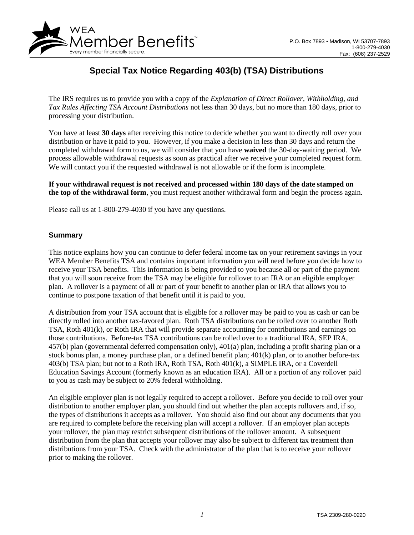

# **Special Tax Notice Regarding 403(b) (TSA) Distributions**

The IRS requires us to provide you with a copy of the *Explanation of Direct Rollover, Withholding, and Tax Rules Affecting TSA Account Distributions* not less than 30 days, but no more than 180 days, prior to processing your distribution.

You have at least 30 days after receiving this notice to decide whether you want to directly roll over your distribution or have it paid to you. However, if you make a decision in less than 30 days and return the completed withdrawal form to us, we will consider that you have **waived** the 30-day-waiting period. We process allowable withdrawal requests as soon as practical after we receive your completed request form. We will contact you if the requested withdrawal is not allowable or if the form is incomplete.

**If your withdrawal request is not received and processed within 180 days of the date stamped on the top of the withdrawal form**, you must request another withdrawal form and begin the process again.

Please call us at 1-800-279-4030 if you have any questions.

#### **Summary**

This notice explains how you can continue to defer federal income tax on your retirement savings in your WEA Member Benefits TSA and contains important information you will need before you decide how to receive your TSA benefits. This information is being provided to you because all or part of the payment that you will soon receive from the TSA may be eligible for rollover to an IRA or an eligible employer plan. A rollover is a payment of all or part of your benefit to another plan or IRA that allows you to continue to postpone taxation of that benefit until it is paid to you.

A distribution from your TSA account that is eligible for a rollover may be paid to you as cash or can be directly rolled into another tax-favored plan. Roth TSA distributions can be rolled over to another Roth TSA, Roth 401(k), or Roth IRA that will provide separate accounting for contributions and earnings on those contributions. Before-tax TSA contributions can be rolled over to a traditional IRA, SEP IRA, 457(b) plan (governmental deferred compensation only), 401(a) plan, including a profit sharing plan or a stock bonus plan, a money purchase plan, or a defined benefit plan; 401(k) plan, or to another before-tax 403(b) TSA plan; but not to a Roth IRA, Roth TSA, Roth 401(k), a SIMPLE IRA, or a Coverdell Education Savings Account (formerly known as an education IRA). All or a portion of any rollover paid to you as cash may be subject to 20% federal withholding.

An eligible employer plan is not legally required to accept a rollover. Before you decide to roll over your distribution to another employer plan, you should find out whether the plan accepts rollovers and, if so, the types of distributions it accepts as a rollover. You should also find out about any documents that you are required to complete before the receiving plan will accept a rollover. If an employer plan accepts your rollover, the plan may restrict subsequent distributions of the rollover amount. A subsequent distribution from the plan that accepts your rollover may also be subject to different tax treatment than distributions from your TSA. Check with the administrator of the plan that is to receive your rollover prior to making the rollover.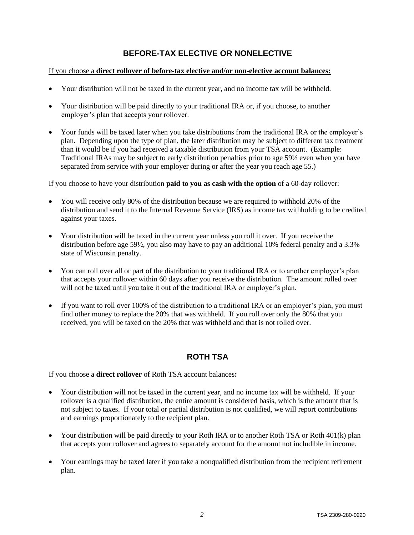## **BEFORE-TAX ELECTIVE OR NONELECTIVE**

## If you choose a **direct rollover of before-tax elective and/or non-elective account balances:**

- Your distribution will not be taxed in the current year, and no income tax will be withheld.
- Your distribution will be paid directly to your traditional IRA or, if you choose, to another employer's plan that accepts your rollover.
- Your funds will be taxed later when you take distributions from the traditional IRA or the employer's plan. Depending upon the type of plan, the later distribution may be subject to different tax treatment than it would be if you had received a taxable distribution from your TSA account. (Example: Traditional IRAs may be subject to early distribution penalties prior to age 59½ even when you have separated from service with your employer during or after the year you reach age 55.)

#### If you choose to have your distribution **paid to you as cash with the option** of a 60-day rollover:

- You will receive only 80% of the distribution because we are required to withhold 20% of the distribution and send it to the Internal Revenue Service (IRS) as income tax withholding to be credited against your taxes.
- Your distribution will be taxed in the current year unless you roll it over. If you receive the distribution before age 59½, you also may have to pay an additional 10% federal penalty and a 3.3% state of Wisconsin penalty.
- You can roll over all or part of the distribution to your traditional IRA or to another employer's plan that accepts your rollover within 60 days after you receive the distribution. The amount rolled over will not be taxed until you take it out of the traditional IRA or employer's plan.
- If you want to roll over 100% of the distribution to a traditional IRA or an employer's plan, you must find other money to replace the 20% that was withheld. If you roll over only the 80% that you received, you will be taxed on the 20% that was withheld and that is not rolled over.

## **ROTH TSA**

#### If you choose a **direct rollover** of Roth TSA account balances**:**

- Your distribution will not be taxed in the current year, and no income tax will be withheld. If your rollover is a qualified distribution, the entire amount is considered basis, which is the amount that is not subject to taxes. If your total or partial distribution is not qualified, we will report contributions and earnings proportionately to the recipient plan.
- Your distribution will be paid directly to your Roth IRA or to another Roth TSA or Roth 401(k) plan that accepts your rollover and agrees to separately account for the amount not includible in income.
- Your earnings may be taxed later if you take a nonqualified distribution from the recipient retirement plan.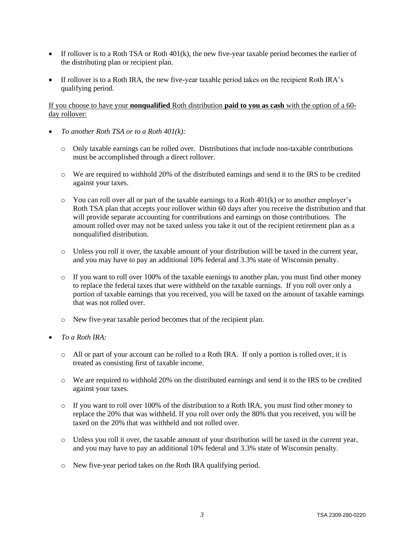- If rollover is to a Roth TSA or Roth  $401(k)$ , the new five-year taxable period becomes the earlier of the distributing plan or recipient plan.
- If rollover is to a Roth IRA, the new five-year taxable period takes on the recipient Roth IRA's qualifying period.

#### If you choose to have your **nonqualified** Roth distribution **paid to you as cash** with the option of a 60 day rollover:

- *To another Roth TSA or to a Roth 401(k):*
	- o Only taxable earnings can be rolled over. Distributions that include non-taxable contributions must be accomplished through a direct rollover.
	- o We are required to withhold 20% of the distributed earnings and send it to the IRS to be credited against your taxes.
	- $\circ$  You can roll over all or part of the taxable earnings to a Roth 401(k) or to another employer's Roth TSA plan that accepts your rollover within 60 days after you receive the distribution and that will provide separate accounting for contributions and earnings on those contributions. The amount rolled over may not be taxed unless you take it out of the recipient retirement plan as a nonqualified distribution.
	- o Unless you roll it over, the taxable amount of your distribution will be taxed in the current year, and you may have to pay an additional 10% federal and 3.3% state of Wisconsin penalty.
	- $\circ$  If you want to roll over 100% of the taxable earnings to another plan, you must find other money to replace the federal taxes that were withheld on the taxable earnings. If you roll over only a portion of taxable earnings that you received, you will be taxed on the amount of taxable earnings that was not rolled over.
	- o New five-year taxable period becomes that of the recipient plan.
- *To a Roth IRA:*
	- o All or part of your account can be rolled to a Roth IRA. If only a portion is rolled over, it is treated as consisting first of taxable income.
	- o We are required to withhold 20% on the distributed earnings and send it to the IRS to be credited against your taxes.
	- o If you want to roll over 100% of the distribution to a Roth IRA, you must find other money to replace the 20% that was withheld. If you roll over only the 80% that you received, you will be taxed on the 20% that was withheld and not rolled over.
	- o Unless you roll it over, the taxable amount of your distribution will be taxed in the current year, and you may have to pay an additional 10% federal and 3.3% state of Wisconsin penalty.
	- o New five-year period takes on the Roth IRA qualifying period.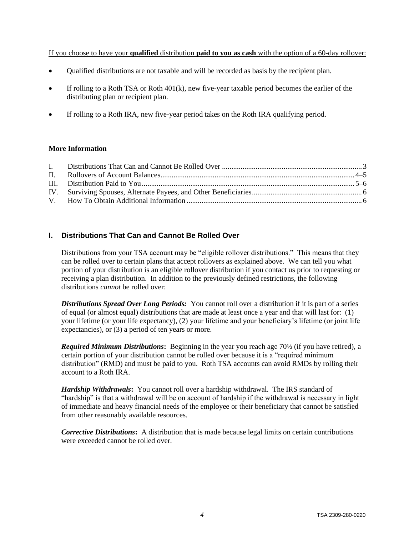If you choose to have your **qualified** distribution **paid to you as cash** with the option of a 60-day rollover:

- Qualified distributions are not taxable and will be recorded as basis by the recipient plan.
- If rolling to a Roth TSA or Roth 401(k), new five-year taxable period becomes the earlier of the distributing plan or recipient plan.
- If rolling to a Roth IRA, new five-year period takes on the Roth IRA qualifying period.

#### **More Information**

## **I. Distributions That Can and Cannot Be Rolled Over**

Distributions from your TSA account may be "eligible rollover distributions." This means that they can be rolled over to certain plans that accept rollovers as explained above. We can tell you what portion of your distribution is an eligible rollover distribution if you contact us prior to requesting or receiving a plan distribution. In addition to the previously defined restrictions, the following distributions *cannot* be rolled over:

*Distributions Spread Over Long Periods:* You cannot roll over a distribution if it is part of a series of equal (or almost equal) distributions that are made at least once a year and that will last for: (1) your lifetime (or your life expectancy), (2) your lifetime and your beneficiary's lifetime (or joint life expectancies), or (3) a period of ten years or more.

*Required Minimum Distributions***:** Beginning in the year you reach age 70½ (if you have retired), a certain portion of your distribution cannot be rolled over because it is a "required minimum distribution" (RMD) and must be paid to you. Roth TSA accounts can avoid RMDs by rolling their account to a Roth IRA.

*Hardship Withdrawals***:** You cannot roll over a hardship withdrawal. The IRS standard of "hardship" is that a withdrawal will be on account of hardship if the withdrawal is necessary in light of immediate and heavy financial needs of the employee or their beneficiary that cannot be satisfied from other reasonably available resources.

*Corrective Distributions***:**A distribution that is made because legal limits on certain contributions were exceeded cannot be rolled over.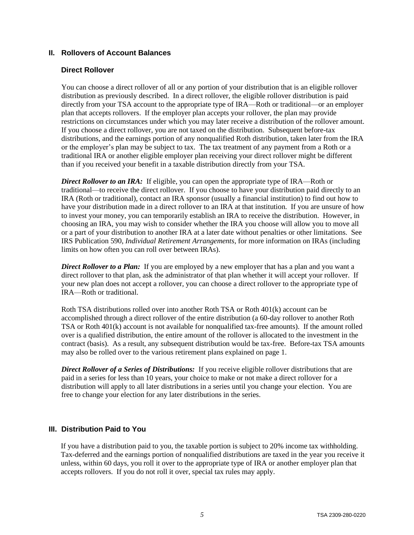## **II. Rollovers of Account Balances**

#### **Direct Rollover**

You can choose a direct rollover of all or any portion of your distribution that is an eligible rollover distribution as previously described. In a direct rollover, the eligible rollover distribution is paid directly from your TSA account to the appropriate type of IRA—Roth or traditional—or an employer plan that accepts rollovers. If the employer plan accepts your rollover, the plan may provide restrictions on circumstances under which you may later receive a distribution of the rollover amount. If you choose a direct rollover, you are not taxed on the distribution. Subsequent before-tax distributions, and the earnings portion of any nonqualified Roth distribution, taken later from the IRA or the employer's plan may be subject to tax. The tax treatment of any payment from a Roth or a traditional IRA or another eligible employer plan receiving your direct rollover might be different than if you received your benefit in a taxable distribution directly from your TSA.

*Direct Rollover to an IRA*: If eligible, you can open the appropriate type of IRA—Roth or traditional—to receive the direct rollover. If you choose to have your distribution paid directly to an IRA (Roth or traditional), contact an IRA sponsor (usually a financial institution) to find out how to have your distribution made in a direct rollover to an IRA at that institution. If you are unsure of how to invest your money, you can temporarily establish an IRA to receive the distribution. However, in choosing an IRA, you may wish to consider whether the IRA you choose will allow you to move all or a part of your distribution to another IRA at a later date without penalties or other limitations. See IRS Publication 590, *Individual Retirement Arrangements*, for more information on IRAs (including limits on how often you can roll over between IRAs).

*Direct Rollover to a Plan:* If you are employed by a new employer that has a plan and you want a direct rollover to that plan, ask the administrator of that plan whether it will accept your rollover. If your new plan does not accept a rollover, you can choose a direct rollover to the appropriate type of IRA—Roth or traditional.

Roth TSA distributions rolled over into another Roth TSA or Roth 401(k) account can be accomplished through a direct rollover of the entire distribution (a 60-day rollover to another Roth TSA or Roth 401(k) account is not available for nonqualified tax-free amounts). If the amount rolled over is a qualified distribution, the entire amount of the rollover is allocated to the investment in the contract (basis). As a result, any subsequent distribution would be tax-free. Before-tax TSA amounts may also be rolled over to the various retirement plans explained on page 1.

*Direct Rollover of a Series of Distributions:* If you receive eligible rollover distributions that are paid in a series for less than 10 years, your choice to make or not make a direct rollover for a distribution will apply to all later distributions in a series until you change your election. You are free to change your election for any later distributions in the series.

## **III. Distribution Paid to You**

If you have a distribution paid to you, the taxable portion is subject to 20% income tax withholding. Tax-deferred and the earnings portion of nonqualified distributions are taxed in the year you receive it unless, within 60 days, you roll it over to the appropriate type of IRA or another employer plan that accepts rollovers. If you do not roll it over, special tax rules may apply.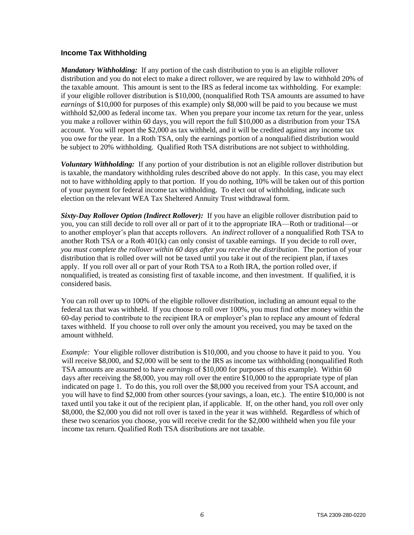## **Income Tax Withholding**

*Mandatory Withholding:* If any portion of the cash distribution to you is an eligible rollover distribution and you do not elect to make a direct rollover, we are required by law to withhold 20% of the taxable amount. This amount is sent to the IRS as federal income tax withholding. For example: if your eligible rollover distribution is \$10,000, (nonqualified Roth TSA amounts are assumed to have *earnings* of \$10,000 for purposes of this example) only \$8,000 will be paid to you because we must withhold \$2,000 as federal income tax. When you prepare your income tax return for the year, unless you make a rollover within 60 days, you will report the full \$10,000 as a distribution from your TSA account. You will report the \$2,000 as tax withheld, and it will be credited against any income tax you owe for the year. In a Roth TSA, only the earnings portion of a nonqualified distribution would be subject to 20% withholding. Qualified Roth TSA distributions are not subject to withholding.

*Voluntary Withholding:* If any portion of your distribution is not an eligible rollover distribution but is taxable, the mandatory withholding rules described above do not apply. In this case, you may elect not to have withholding apply to that portion. If you do nothing, 10% will be taken out of this portion of your payment for federal income tax withholding. To elect out of withholding, indicate such election on the relevant WEA Tax Sheltered Annuity Trust withdrawal form.

*Sixty-Day Rollover Option (Indirect Rollover):*If you have an eligible rollover distribution paid to you, you can still decide to roll over all or part of it to the appropriate IRA—Roth or traditional—or to another employer's plan that accepts rollovers. An *indirect* rollover of a nonqualified Roth TSA to another Roth TSA or a Roth 401(k) can only consist of taxable earnings. If you decide to roll over, *you must complete the rollover within 60 days after you receive the distribution*. The portion of your distribution that is rolled over will not be taxed until you take it out of the recipient plan, if taxes apply. If you roll over all or part of your Roth TSA to a Roth IRA, the portion rolled over, if nonqualified, is treated as consisting first of taxable income, and then investment. If qualified, it is considered basis.

You can roll over up to 100% of the eligible rollover distribution, including an amount equal to the federal tax that was withheld. If you choose to roll over 100%, you must find other money within the 60-day period to contribute to the recipient IRA or employer's plan to replace any amount of federal taxes withheld. If you choose to roll over only the amount you received, you may be taxed on the amount withheld.

*Example:* Your eligible rollover distribution is \$10,000, and you choose to have it paid to you. You will receive \$8,000, and \$2,000 will be sent to the IRS as income tax withholding (nonqualified Roth TSA amounts are assumed to have *earnings* of \$10,000 for purposes of this example). Within 60 days after receiving the \$8,000, you may roll over the entire \$10,000 to the appropriate type of plan indicated on page 1. To do this, you roll over the \$8,000 you received from your TSA account, and you will have to find \$2,000 from other sources (your savings, a loan, etc.). The entire \$10,000 is not taxed until you take it out of the recipient plan, if applicable. If, on the other hand, you roll over only \$8,000, the \$2,000 you did not roll over is taxed in the year it was withheld. Regardless of which of these two scenarios you choose, you will receive credit for the \$2,000 withheld when you file your income tax return. Qualified Roth TSA distributions are not taxable.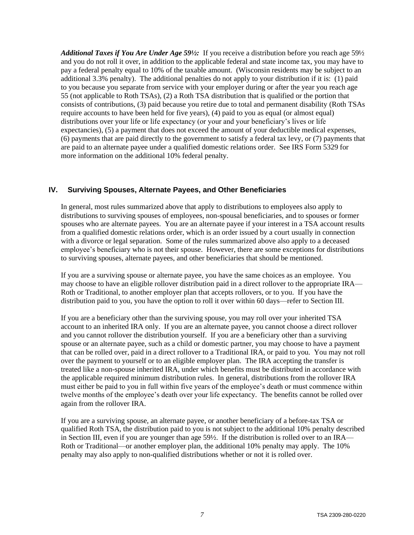*Additional Taxes if You Are Under Age 59½:* If you receive a distribution before you reach age 59½ and you do not roll it over, in addition to the applicable federal and state income tax, you may have to pay a federal penalty equal to 10% of the taxable amount. (Wisconsin residents may be subject to an additional 3.3% penalty). The additional penalties do not apply to your distribution if it is: (1) paid to you because you separate from service with your employer during or after the year you reach age 55 (not applicable to Roth TSAs), (2) a Roth TSA distribution that is qualified or the portion that consists of contributions, (3) paid because you retire due to total and permanent disability (Roth TSAs require accounts to have been held for five years), (4) paid to you as equal (or almost equal) distributions over your life or life expectancy (or your and your beneficiary's lives or life expectancies), (5) a payment that does not exceed the amount of your deductible medical expenses, (6) payments that are paid directly to the government to satisfy a federal tax levy, or (7) payments that are paid to an alternate payee under a qualified domestic relations order. See IRS Form 5329 for more information on the additional 10% federal penalty.

## **IV. Surviving Spouses, Alternate Payees, and Other Beneficiaries**

In general, most rules summarized above that apply to distributions to employees also apply to distributions to surviving spouses of employees, non-spousal beneficiaries, and to spouses or former spouses who are alternate payees. You are an alternate payee if your interest in a TSA account results from a qualified domestic relations order, which is an order issued by a court usually in connection with a divorce or legal separation. Some of the rules summarized above also apply to a deceased employee's beneficiary who is not their spouse. However, there are some exceptions for distributions to surviving spouses, alternate payees, and other beneficiaries that should be mentioned.

If you are a surviving spouse or alternate payee, you have the same choices as an employee. You may choose to have an eligible rollover distribution paid in a direct rollover to the appropriate IRA— Roth or Traditional, to another employer plan that accepts rollovers, or to you. If you have the distribution paid to you, you have the option to roll it over within 60 days—refer to Section III.

If you are a beneficiary other than the surviving spouse, you may roll over your inherited TSA account to an inherited IRA only. If you are an alternate payee, you cannot choose a direct rollover and you cannot rollover the distribution yourself. If you are a beneficiary other than a surviving spouse or an alternate payee, such as a child or domestic partner, you may choose to have a payment that can be rolled over, paid in a direct rollover to a Traditional IRA, or paid to you. You may not roll over the payment to yourself or to an eligible employer plan. The IRA accepting the transfer is treated like a non-spouse inherited IRA, under which benefits must be distributed in accordance with the applicable required minimum distribution rules. In general, distributions from the rollover IRA must either be paid to you in full within five years of the employee's death or must commence within twelve months of the employee's death over your life expectancy. The benefits cannot be rolled over again from the rollover IRA.

If you are a surviving spouse, an alternate payee, or another beneficiary of a before-tax TSA or qualified Roth TSA, the distribution paid to you is not subject to the additional 10% penalty described in Section III, even if you are younger than age 59½. If the distribution is rolled over to an IRA— Roth or Traditional—or another employer plan, the additional 10% penalty may apply. The 10% penalty may also apply to non-qualified distributions whether or not it is rolled over.